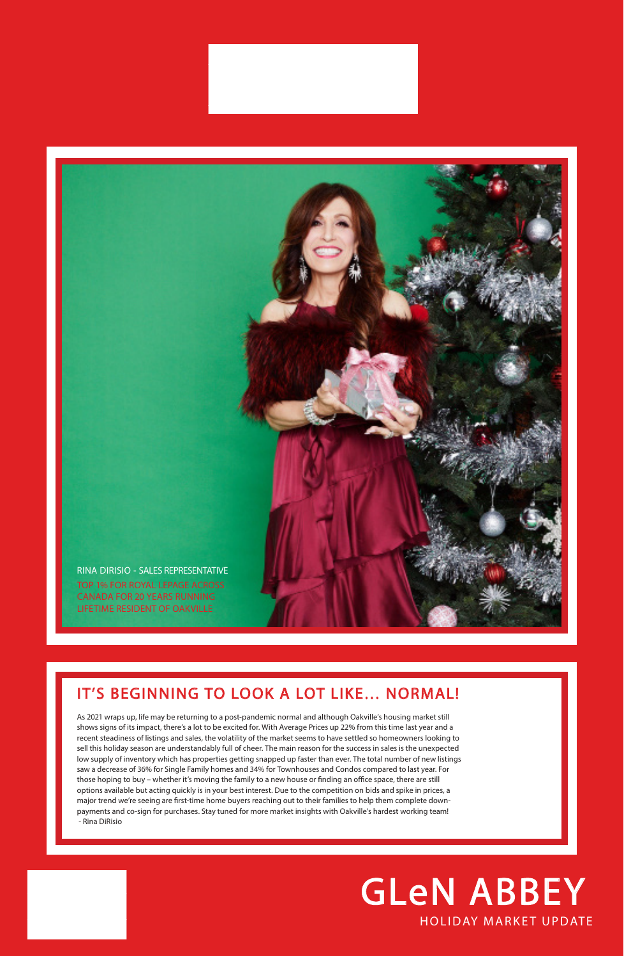## HOLIDAY MARKET UPDATE GLeN ABBEY

## IT'S BEGINNING TO LOOK A LOT LIKE… NORMAL!

As 2021 wraps up, life may be returning to a post-pandemic normal and although Oakville's housing market still

shows signs of its impact, there's a lot to be excited for. With Average Prices up 22% from this time last year and a recent steadiness of listings and sales, the volatility of the market seems to have settled so homeowners looking to sell this holiday season are understandably full of cheer. The main reason for the success in sales is the unexpected low supply of inventory which has properties getting snapped up faster than ever. The total number of new listings saw a decrease of 36% for Single Family homes and 34% for Townhouses and Condos compared to last year. For those hoping to buy – whether it's moving the family to a new house or finding an office space, there are still options available but acting quickly is in your best interest. Due to the competition on bids and spike in prices, a major trend we're seeing are first-time home buyers reaching out to their families to help them complete downpayments and co-sign for purchases. Stay tuned for more market insights with Oakville's hardest working team! - Rina DiRisio